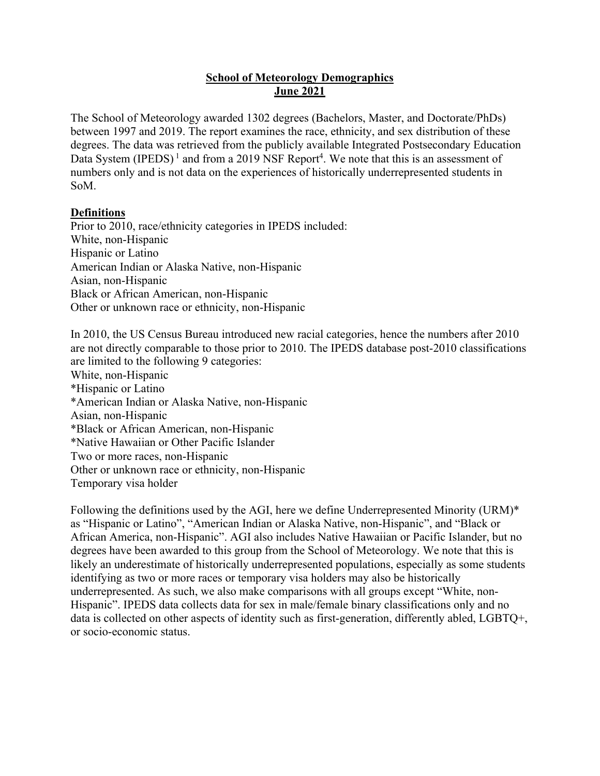## **School of Meteorology Demographics June 2021**

The School of Meteorology awarded 1302 degrees (Bachelors, Master, and Doctorate/PhDs) between 1997 and 2019. The report examines the race, ethnicity, and sex distribution of these degrees. The data was retrieved from the publicly available Integrated Postsecondary Education Data System (IPEDS)<sup>1</sup> and from a 2019 NSF Report<sup>4</sup>. We note that this is an assessment of numbers only and is not data on the experiences of historically underrepresented students in SoM.

#### **Definitions**

Prior to 2010, race/ethnicity categories in IPEDS included: White, non-Hispanic Hispanic or Latino American Indian or Alaska Native, non-Hispanic Asian, non-Hispanic Black or African American, non-Hispanic Other or unknown race or ethnicity, non-Hispanic

In 2010, the US Census Bureau introduced new racial categories, hence the numbers after 2010 are not directly comparable to those prior to 2010. The IPEDS database post-2010 classifications are limited to the following 9 categories: White, non-Hispanic \*Hispanic or Latino \*American Indian or Alaska Native, non-Hispanic Asian, non-Hispanic \*Black or African American, non-Hispanic \*Native Hawaiian or Other Pacific Islander Two or more races, non-Hispanic Other or unknown race or ethnicity, non-Hispanic Temporary visa holder

Following the definitions used by the AGI, here we define Underrepresented Minority (URM)\* as "Hispanic or Latino", "American Indian or Alaska Native, non-Hispanic", and "Black or African America, non-Hispanic". AGI also includes Native Hawaiian or Pacific Islander, but no degrees have been awarded to this group from the School of Meteorology. We note that this is likely an underestimate of historically underrepresented populations, especially as some students identifying as two or more races or temporary visa holders may also be historically underrepresented. As such, we also make comparisons with all groups except "White, non-Hispanic". IPEDS data collects data for sex in male/female binary classifications only and no data is collected on other aspects of identity such as first-generation, differently abled, LGBTQ+, or socio-economic status.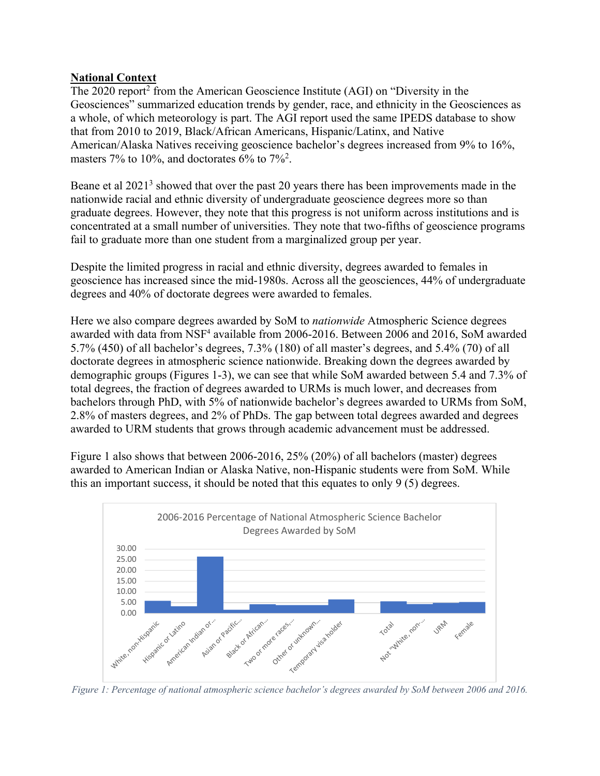#### **National Context**

The 2020 report<sup>2</sup> from the American Geoscience Institute (AGI) on "Diversity in the Geosciences" summarized education trends by gender, race, and ethnicity in the Geosciences as a whole, of which meteorology is part. The AGI report used the same IPEDS database to show that from 2010 to 2019, Black/African Americans, Hispanic/Latinx, and Native American/Alaska Natives receiving geoscience bachelor's degrees increased from 9% to 16%, masters 7% to 10%, and doctorates 6% to 7%<sup>2</sup>.

Beane et al 2021<sup>3</sup> showed that over the past 20 years there has been improvements made in the nationwide racial and ethnic diversity of undergraduate geoscience degrees more so than graduate degrees. However, they note that this progress is not uniform across institutions and is concentrated at a small number of universities. They note that two-fifths of geoscience programs fail to graduate more than one student from a marginalized group per year.

Despite the limited progress in racial and ethnic diversity, degrees awarded to females in geoscience has increased since the mid-1980s. Across all the geosciences, 44% of undergraduate degrees and 40% of doctorate degrees were awarded to females.

Here we also compare degrees awarded by SoM to *nationwide* Atmospheric Science degrees awarded with data from NSF<sup>4</sup> available from 2006-2016. Between 2006 and 2016, SoM awarded 5.7% (450) of all bachelor's degrees, 7.3% (180) of all master's degrees, and 5.4% (70) of all doctorate degrees in atmospheric science nationwide. Breaking down the degrees awarded by demographic groups (Figures 1-3), we can see that while SoM awarded between 5.4 and 7.3% of total degrees, the fraction of degrees awarded to URMs is much lower, and decreases from bachelors through PhD, with 5% of nationwide bachelor's degrees awarded to URMs from SoM, 2.8% of masters degrees, and 2% of PhDs. The gap between total degrees awarded and degrees awarded to URM students that grows through academic advancement must be addressed.

Figure 1 also shows that between 2006-2016, 25% (20%) of all bachelors (master) degrees awarded to American Indian or Alaska Native, non-Hispanic students were from SoM. While this an important success, it should be noted that this equates to only 9 (5) degrees.



*Figure 1: Percentage of national atmospheric science bachelor's degrees awarded by SoM between 2006 and 2016.*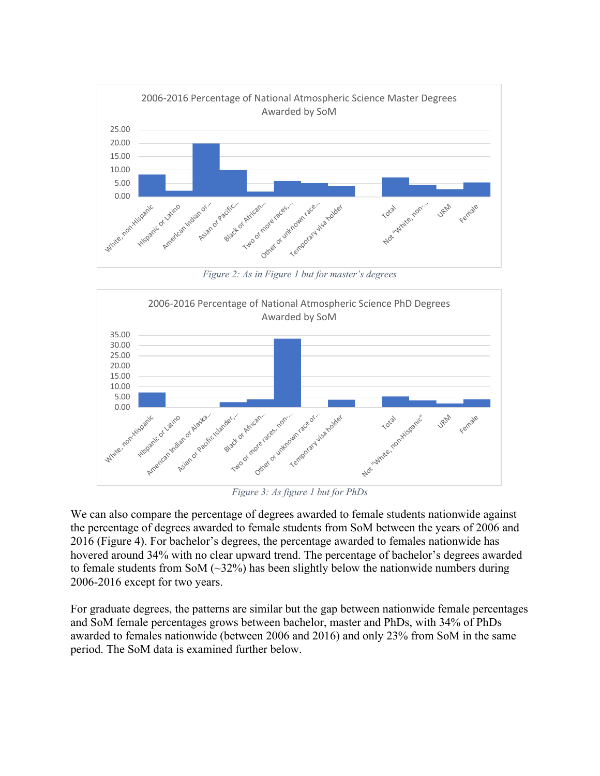

*Figure 2: As in Figure 1 but for master's degrees*



*Figure 3: As figure 1 but for PhDs*

We can also compare the percentage of degrees awarded to female students nationwide against the percentage of degrees awarded to female students from SoM between the years of 2006 and 2016 (Figure 4). For bachelor's degrees, the percentage awarded to females nationwide has hovered around 34% with no clear upward trend. The percentage of bachelor's degrees awarded to female students from SoM  $(\sim 32\%)$  has been slightly below the nationwide numbers during 2006-2016 except for two years.

For graduate degrees, the patterns are similar but the gap between nationwide female percentages and SoM female percentages grows between bachelor, master and PhDs, with 34% of PhDs awarded to females nationwide (between 2006 and 2016) and only 23% from SoM in the same period. The SoM data is examined further below.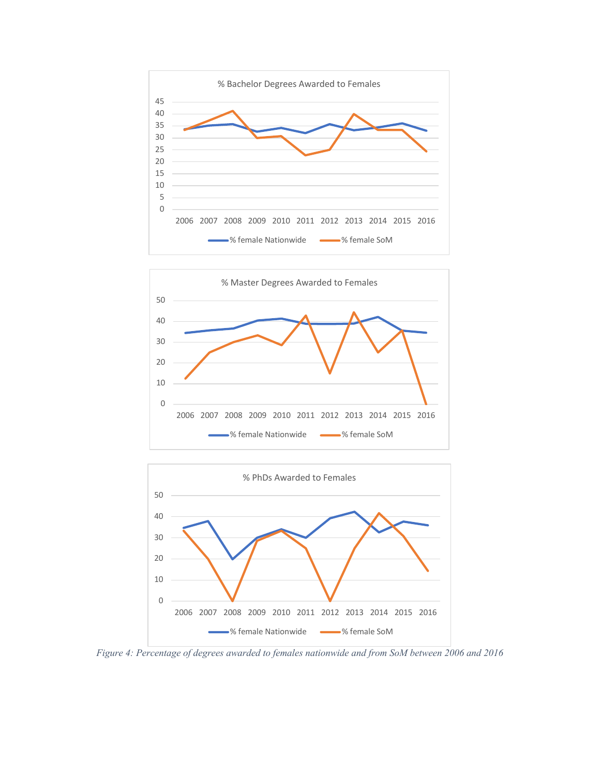





*Figure 4: Percentage of degrees awarded to females nationwide and from SoM between 2006 and 2016*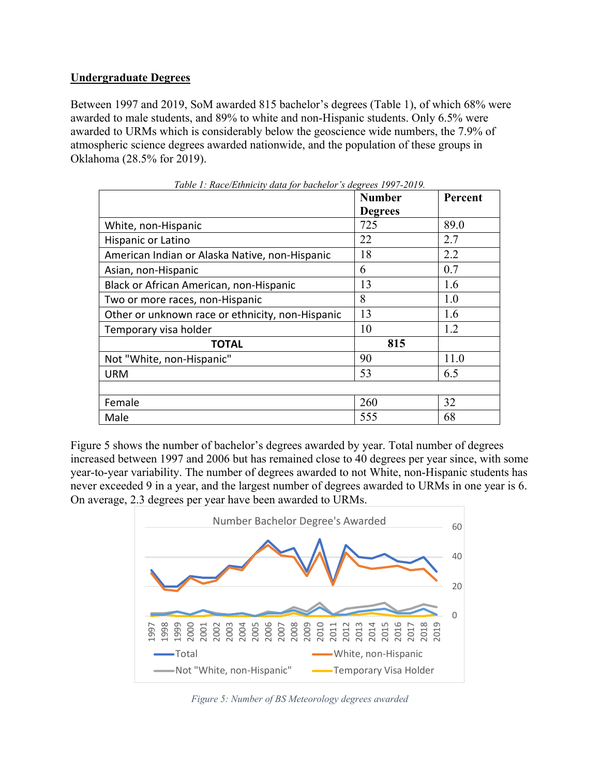### **Undergraduate Degrees**

Between 1997 and 2019, SoM awarded 815 bachelor's degrees (Table 1), of which 68% were awarded to male students, and 89% to white and non-Hispanic students. Only 6.5% were awarded to URMs which is considerably below the geoscience wide numbers, the 7.9% of atmospheric science degrees awarded nationwide, and the population of these groups in Oklahoma (28.5% for 2019).

|                                                  | <b>Number</b>  | Percent |
|--------------------------------------------------|----------------|---------|
|                                                  | <b>Degrees</b> |         |
| White, non-Hispanic                              | 725            | 89.0    |
| Hispanic or Latino                               | 22             | 2.7     |
| American Indian or Alaska Native, non-Hispanic   | 18             | 2.2     |
| Asian, non-Hispanic                              | 6              | 0.7     |
| Black or African American, non-Hispanic          | 13             | 1.6     |
| Two or more races, non-Hispanic                  | 8              | 1.0     |
| Other or unknown race or ethnicity, non-Hispanic | 13             | 1.6     |
| Temporary visa holder                            | 10             | 1.2     |
| TOTAL                                            | 815            |         |
| Not "White, non-Hispanic"                        | 90             | 11.0    |
| <b>URM</b>                                       | 53             | 6.5     |
|                                                  |                |         |
| Female                                           | 260            | 32      |
| Male                                             | 555            | 68      |

*Table 1: Race/Ethnicity data for bachelor's degrees 1997-2019.*

Figure 5 shows the number of bachelor's degrees awarded by year. Total number of degrees increased between 1997 and 2006 but has remained close to 40 degrees per year since, with some year-to-year variability. The number of degrees awarded to not White, non-Hispanic students has never exceeded 9 in a year, and the largest number of degrees awarded to URMs in one year is 6. On average, 2.3 degrees per year have been awarded to URMs.



*Figure 5: Number of BS Meteorology degrees awarded*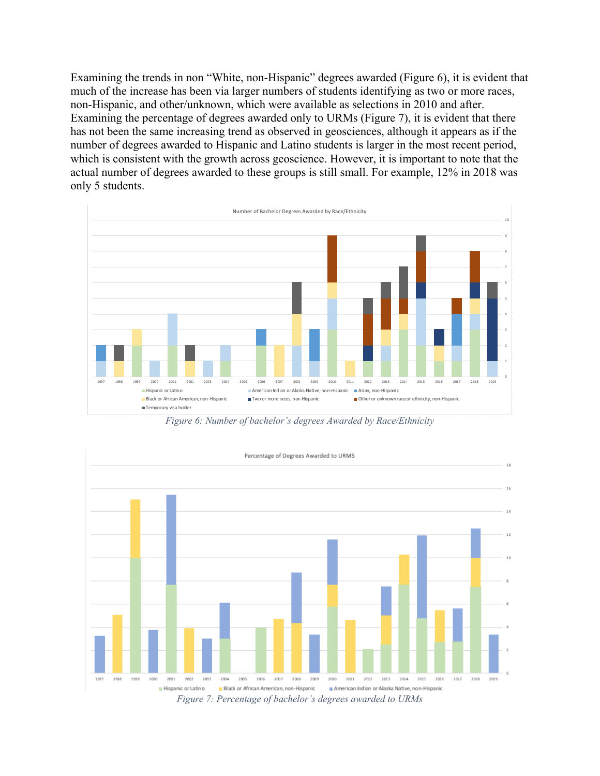Examining the trends in non "White, non-Hispanic" degrees awarded (Figure 6), it is evident that much of the increase has been via larger numbers of students identifying as two or more races, non-Hispanic, and other/unknown, which were available as selections in 2010 and after. Examining the percentage of degrees awarded only to URMs (Figure 7), it is evident that there has not been the same increasing trend as observed in geosciences, although it appears as if the number of degrees awarded to Hispanic and Latino students is larger in the most recent period, which is consistent with the growth across geoscience. However, it is important to note that the actual number of degrees awarded to these groups is still small. For example, 12% in 2018 was only 5 students.



*Figure 6: Number of bachelor's degrees Awarded by Race/Ethnicity*



*Figure 7: Percentage of bachelor's degrees awarded to URMs*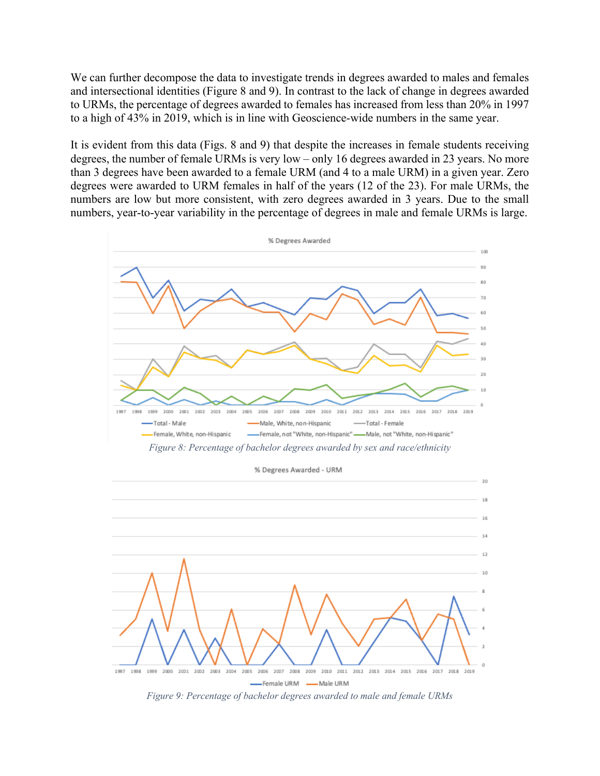We can further decompose the data to investigate trends in degrees awarded to males and females and intersectional identities (Figure 8 and 9). In contrast to the lack of change in degrees awarded to URMs, the percentage of degrees awarded to females has increased from less than 20% in 1997 to a high of 43% in 2019, which is in line with Geoscience-wide numbers in the same year.

It is evident from this data (Figs. 8 and 9) that despite the increases in female students receiving degrees, the number of female URMs is very low – only 16 degrees awarded in 23 years. No more than 3 degrees have been awarded to a female URM (and 4 to a male URM) in a given year. Zero degrees were awarded to URM females in half of the years (12 of the 23). For male URMs, the numbers are low but more consistent, with zero degrees awarded in 3 years. Due to the small numbers, year-to-year variability in the percentage of degrees in male and female URMs is large.



*Figure 9: Percentage of bachelor degrees awarded to male and female URMs*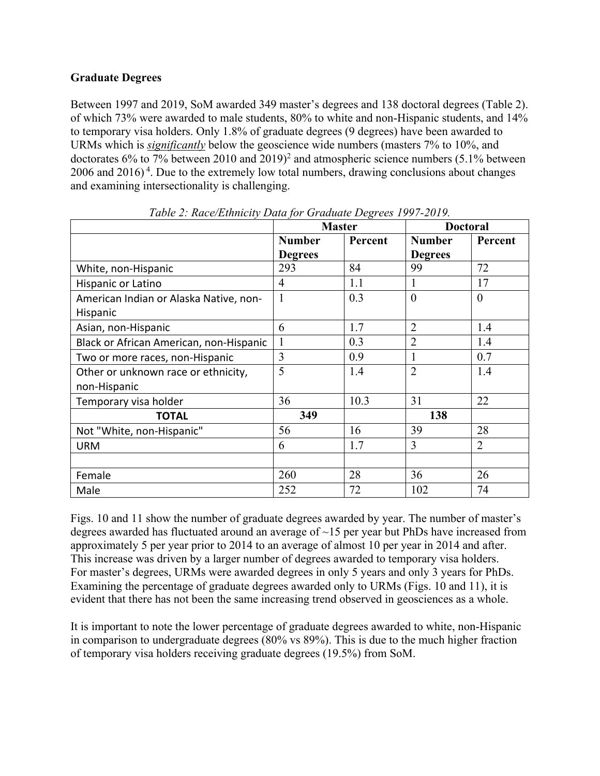## **Graduate Degrees**

Between 1997 and 2019, SoM awarded 349 master's degrees and 138 doctoral degrees (Table 2). of which 73% were awarded to male students, 80% to white and non-Hispanic students, and 14% to temporary visa holders. Only 1.8% of graduate degrees (9 degrees) have been awarded to URMs which is *significantly* below the geoscience wide numbers (masters 7% to 10%, and doctorates  $6\%$  to 7% between 2010 and 2019)<sup>2</sup> and atmospheric science numbers (5.1% between  $2006$  and  $2016$ <sup>4</sup>. Due to the extremely low total numbers, drawing conclusions about changes and examining intersectionality is challenging.

|                                         | $\frac{1}{2}$ . Ruce/ $\frac{1}{2}$ th then $\frac{1}{2}$ $\frac{1}{2}$ and $\frac{1}{2}$ of an interest $\frac{1}{2}$ or $\frac{1}{2}$<br><b>Master</b> |         | <b>Doctoral</b> |                |
|-----------------------------------------|----------------------------------------------------------------------------------------------------------------------------------------------------------|---------|-----------------|----------------|
|                                         | <b>Number</b>                                                                                                                                            | Percent | <b>Number</b>   | Percent        |
|                                         | <b>Degrees</b>                                                                                                                                           |         | <b>Degrees</b>  |                |
| White, non-Hispanic                     | 293                                                                                                                                                      | 84      | 99              | 72             |
| Hispanic or Latino                      | 4                                                                                                                                                        | 1.1     | $\mathbf{I}$    | 17             |
| American Indian or Alaska Native, non-  | $\mathbf{1}$                                                                                                                                             | 0.3     | $\overline{0}$  | $\theta$       |
| Hispanic                                |                                                                                                                                                          |         |                 |                |
| Asian, non-Hispanic                     | 6                                                                                                                                                        | 1.7     | $\overline{2}$  | 1.4            |
| Black or African American, non-Hispanic | $\mathbf{1}$                                                                                                                                             | 0.3     | $\overline{2}$  | 1.4            |
| Two or more races, non-Hispanic         | 3                                                                                                                                                        | 0.9     | 1               | 0.7            |
| Other or unknown race or ethnicity,     | 5                                                                                                                                                        | 1.4     | $\overline{2}$  | 1.4            |
| non-Hispanic                            |                                                                                                                                                          |         |                 |                |
| Temporary visa holder                   | 36                                                                                                                                                       | 10.3    | 31              | 22             |
| <b>TOTAL</b>                            | 349                                                                                                                                                      |         | 138             |                |
| Not "White, non-Hispanic"               | 56                                                                                                                                                       | 16      | 39              | 28             |
| <b>URM</b>                              | 6                                                                                                                                                        | 1.7     | 3               | $\overline{2}$ |
|                                         |                                                                                                                                                          |         |                 |                |
| Female                                  | 260                                                                                                                                                      | 28      | 36              | 26             |
| Male                                    | 252                                                                                                                                                      | 72      | 102             | 74             |

*Table 2: Race/Ethnicity Data for Graduate Degrees 1997-2019.*

Figs. 10 and 11 show the number of graduate degrees awarded by year. The number of master's degrees awarded has fluctuated around an average of  $\sim$ 15 per year but PhDs have increased from approximately 5 per year prior to 2014 to an average of almost 10 per year in 2014 and after. This increase was driven by a larger number of degrees awarded to temporary visa holders. For master's degrees, URMs were awarded degrees in only 5 years and only 3 years for PhDs. Examining the percentage of graduate degrees awarded only to URMs (Figs. 10 and 11), it is evident that there has not been the same increasing trend observed in geosciences as a whole.

It is important to note the lower percentage of graduate degrees awarded to white, non-Hispanic in comparison to undergraduate degrees (80% vs 89%). This is due to the much higher fraction of temporary visa holders receiving graduate degrees (19.5%) from SoM.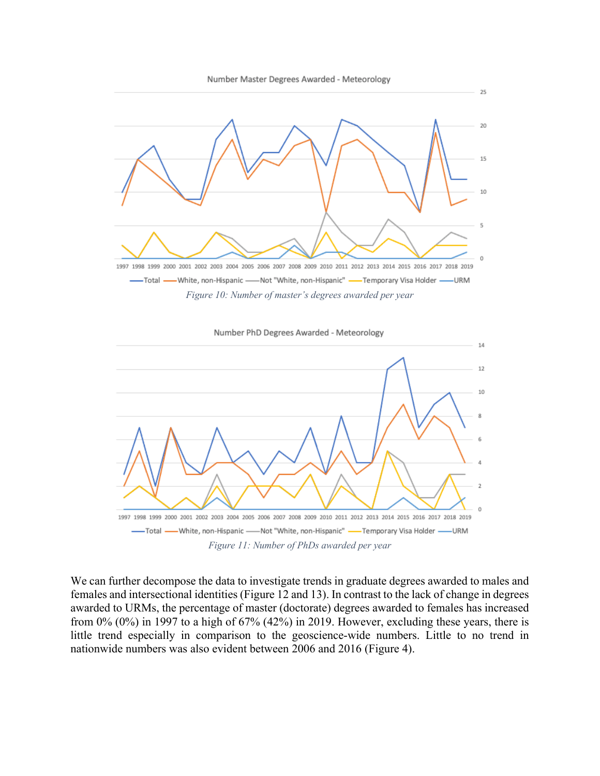



We can further decompose the data to investigate trends in graduate degrees awarded to males and females and intersectional identities (Figure 12 and 13). In contrast to the lack of change in degrees awarded to URMs, the percentage of master (doctorate) degrees awarded to females has increased from 0% (0%) in 1997 to a high of 67% (42%) in 2019. However, excluding these years, there is little trend especially in comparison to the geoscience-wide numbers. Little to no trend in nationwide numbers was also evident between 2006 and 2016 (Figure 4).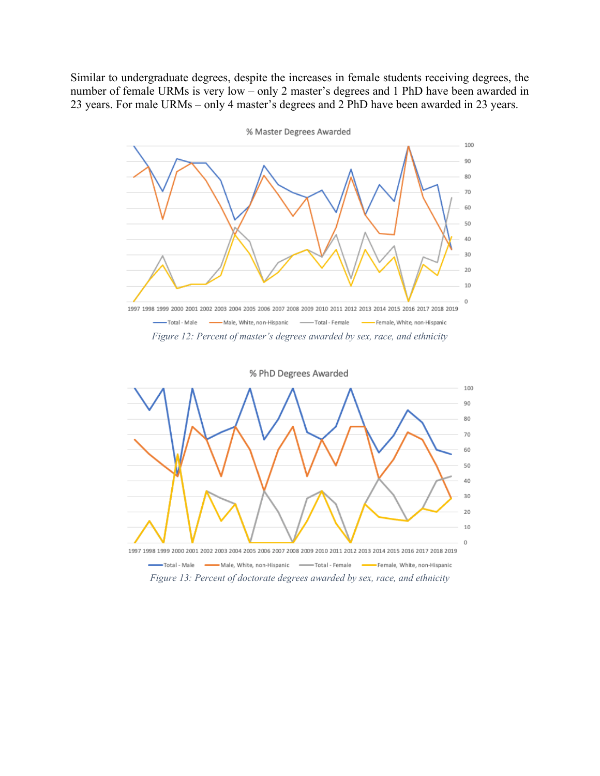Similar to undergraduate degrees, despite the increases in female students receiving degrees, the number of female URMs is very low – only 2 master's degrees and 1 PhD have been awarded in 23 years. For male URMs – only 4 master's degrees and 2 PhD have been awarded in 23 years.